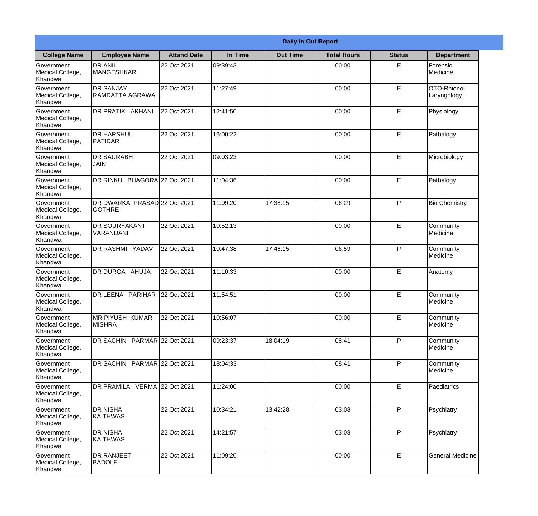|                                                  | <b>Daily In Out Report</b>                    |                     |          |                 |                    |               |                            |  |  |
|--------------------------------------------------|-----------------------------------------------|---------------------|----------|-----------------|--------------------|---------------|----------------------------|--|--|
| <b>College Name</b>                              | <b>Employee Name</b>                          | <b>Attand Date</b>  | In Time  | <b>Out Time</b> | <b>Total Hours</b> | <b>Status</b> | <b>Department</b>          |  |  |
| Government<br>Medical College,<br>Khandwa        | <b>DR ANIL</b><br><b>MANGESHKAR</b>           | 22 Oct 2021         | 09:39:43 |                 | 00:00              | E             | Forensic<br>Medicine       |  |  |
| Government<br>Medical College,<br>Khandwa        | <b>DR SANJAY</b><br><b>RAMDATTA AGRAWAL</b>   | 22 Oct 2021         | 11:27:49 |                 | 00:00              | E             | OTO-Rhiono-<br>Laryngology |  |  |
| <b>Government</b><br>Medical College,<br>Khandwa | DR PRATIK AKHANI                              | 22 Oct 2021         | 12:41:50 |                 | 00:00              | E             | Physiology                 |  |  |
| Government<br>Medical College,<br>Khandwa        | <b>DR HARSHUL</b><br><b>PATIDAR</b>           | 22 Oct 2021         | 16:00:22 |                 | 00:00              | E             | Pathalogy                  |  |  |
| <b>Government</b><br>Medical College,<br>Khandwa | <b>DR SAURABH</b><br><b>JAIN</b>              | 22 Oct 2021         | 09:03:23 |                 | 00:00              | E             | Microbiology               |  |  |
| Government<br>Medical College,<br>Khandwa        | DR RINKU                                      | BHAGORA 22 Oct 2021 | 11:04:36 |                 | 00:00              | E             | Pathalogy                  |  |  |
| Government<br>Medical College,<br>Khandwa        | DR DWARKA PRASAD 22 Oct 2021<br><b>GOTHRE</b> |                     | 11:09:20 | 17:38:15        | 06:29              | P             | <b>Bio Chemistry</b>       |  |  |
| Government<br>Medical College,<br>Khandwa        | <b>DR SOURYAKANT</b><br>VARANDANI             | 22 Oct 2021         | 10:52:13 |                 | 00:00              | E             | Community<br>Medicine      |  |  |
| <b>Government</b><br>Medical College,<br>Khandwa | <b>DR RASHMI YADAV</b>                        | 22 Oct 2021         | 10:47:38 | 17:46:15        | 06:59              | P             | Community<br>Medicine      |  |  |
| Government<br>Medical College,<br>Khandwa        | DR DURGA AHUJA                                | 22 Oct 2021         | 11:10:33 |                 | 00:00              | E             | Anatomy                    |  |  |
| Government<br>Medical College,<br>Khandwa        | DR LEENA PARIHAR                              | 22 Oct 2021         | 11:54:51 |                 | 00:00              | E             | Community<br>Medicine      |  |  |
| Government<br>Medical College,<br>Khandwa        | <b>MR PIYUSH KUMAR</b><br><b>MISHRA</b>       | 22 Oct 2021         | 10:56:07 |                 | 00:00              | E             | Community<br>Medicine      |  |  |
| Government<br>Medical College,<br>Khandwa        | DR SACHIN PARMAR 22 Oct 2021                  |                     | 09:23:37 | 18:04:19        | 08:41              | P             | Community<br>Medicine      |  |  |
| Government<br>Medical College,<br>Khandwa        | DR SACHIN PARMAR 22 Oct 2021                  |                     | 18:04:33 |                 | 08:41              | P             | Community<br>Medicine      |  |  |
| Government<br>Medical College,<br>Khandwa        | DR PRAMILA VERMA 22 Oct 2021                  |                     | 11:24:00 |                 | 00:00              | E             | Paediatrics                |  |  |
| Government<br>Medical College,<br>Khandwa        | <b>DR NISHA</b><br><b>KAITHWAS</b>            | 22 Oct 2021         | 10:34:21 | 13:42:28        | 03:08              | P             | Psychiatry                 |  |  |
| Government<br>Medical College,<br>Khandwa        | <b>DR NISHA</b><br>KAITHWAS                   | 22 Oct 2021         | 14:21:57 |                 | 03:08              | P             | Psychiatry                 |  |  |
| Government<br>Medical College,<br>Khandwa        | DR RANJEET<br><b>BADOLE</b>                   | 22 Oct 2021         | 11:09:20 |                 | 00:00              | E             | <b>General Medicine</b>    |  |  |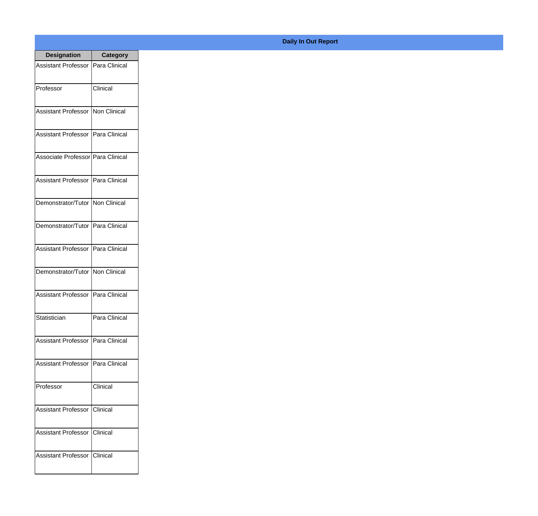| <b>Designation</b>                  | Category        |
|-------------------------------------|-----------------|
| Assistant Professor   Para Clinical |                 |
| Professor                           | Clinical        |
| Assistant Professor   Non Clinical  |                 |
| Assistant Professor   Para Clinical |                 |
| Associate Professor Para Clinical   |                 |
| Assistant Professor   Para Clinical |                 |
| Demonstrator/Tutor Non Clinical     |                 |
| Demonstrator/Tutor   Para Clinical  |                 |
| Assistant Professor   Para Clinical |                 |
| Demonstrator/Tutor   Non Clinical   |                 |
| Assistant Professor                 | Para Clinical   |
| Statistician                        | Para Clinical   |
| Assistant Professor   Para Clinical |                 |
| Assistant Professor   Para Clinical |                 |
| Professor                           | Clinical        |
| <b>Assistant Professor</b>          | Clinical        |
| <b>Assistant Professor</b>          | <b>Clinical</b> |
| Assistant Professor                 | <b>Clinical</b> |

## **Daily In Out Report**